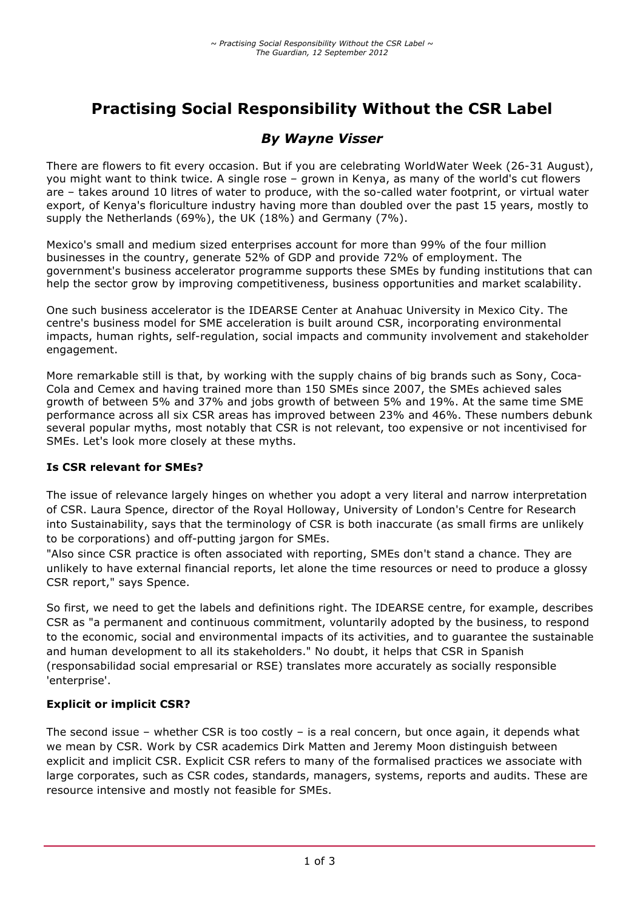# **Practising Social Responsibility Without the CSR Label**

## *By Wayne Visser*

There are flowers to fit every occasion. But if you are celebrating WorldWater Week (26-31 August), you might want to think twice. A single rose – grown in Kenya, as many of the world's cut flowers are – takes around 10 litres of water to produce, with the so-called water footprint, or virtual water export, of Kenya's floriculture industry having more than doubled over the past 15 years, mostly to supply the Netherlands (69%), the UK (18%) and Germany (7%).

Mexico's small and medium sized enterprises account for more than 99% of the four million businesses in the country, generate 52% of GDP and provide 72% of employment. The government's business accelerator programme supports these SMEs by funding institutions that can help the sector grow by improving competitiveness, business opportunities and market scalability.

One such business accelerator is the IDEARSE Center at Anahuac University in Mexico City. The centre's business model for SME acceleration is built around CSR, incorporating environmental impacts, human rights, self-regulation, social impacts and community involvement and stakeholder engagement.

More remarkable still is that, by working with the supply chains of big brands such as Sony, Coca-Cola and Cemex and having trained more than 150 SMEs since 2007, the SMEs achieved sales growth of between 5% and 37% and jobs growth of between 5% and 19%. At the same time SME performance across all six CSR areas has improved between 23% and 46%. These numbers debunk several popular myths, most notably that CSR is not relevant, too expensive or not incentivised for SMEs. Let's look more closely at these myths.

#### **Is CSR relevant for SMEs?**

The issue of relevance largely hinges on whether you adopt a very literal and narrow interpretation of CSR. Laura Spence, director of the Royal Holloway, University of London's Centre for Research into Sustainability, says that the terminology of CSR is both inaccurate (as small firms are unlikely to be corporations) and off-putting jargon for SMEs.

"Also since CSR practice is often associated with reporting, SMEs don't stand a chance. They are unlikely to have external financial reports, let alone the time resources or need to produce a glossy CSR report," says Spence.

So first, we need to get the labels and definitions right. The IDEARSE centre, for example, describes CSR as "a permanent and continuous commitment, voluntarily adopted by the business, to respond to the economic, social and environmental impacts of its activities, and to guarantee the sustainable and human development to all its stakeholders." No doubt, it helps that CSR in Spanish (responsabilidad social empresarial or RSE) translates more accurately as socially responsible 'enterprise'.

## **Explicit or implicit CSR?**

The second issue – whether CSR is too costly – is a real concern, but once again, it depends what we mean by CSR. Work by CSR academics Dirk Matten and Jeremy Moon distinguish between explicit and implicit CSR. Explicit CSR refers to many of the formalised practices we associate with large corporates, such as CSR codes, standards, managers, systems, reports and audits. These are resource intensive and mostly not feasible for SMEs.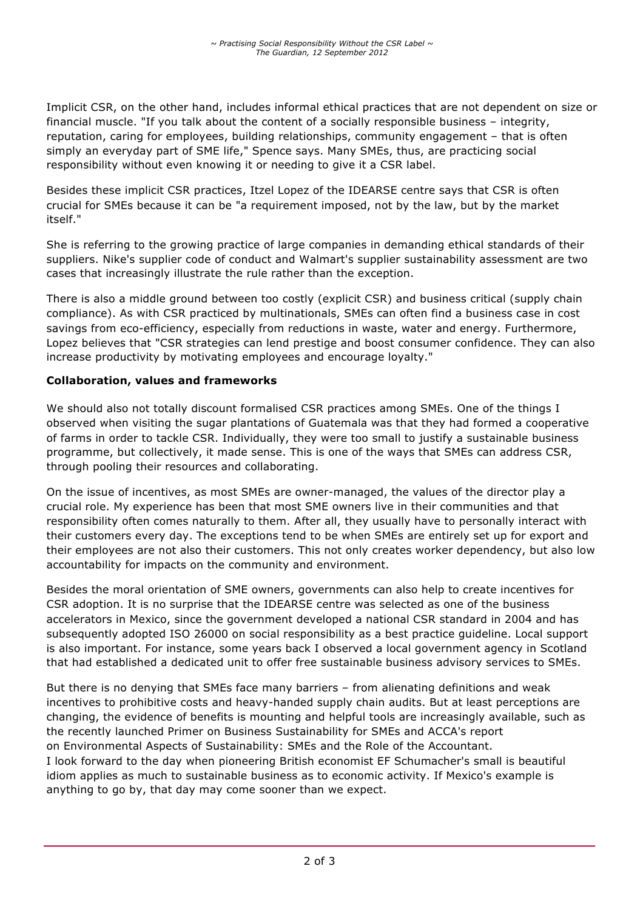Implicit CSR, on the other hand, includes informal ethical practices that are not dependent on size or financial muscle. "If you talk about the content of a socially responsible business – integrity, reputation, caring for employees, building relationships, community engagement – that is often simply an everyday part of SME life," Spence says. Many SMEs, thus, are practicing social responsibility without even knowing it or needing to give it a CSR label.

Besides these implicit CSR practices, Itzel Lopez of the IDEARSE centre says that CSR is often crucial for SMEs because it can be "a requirement imposed, not by the law, but by the market itself."

She is referring to the growing practice of large companies in demanding ethical standards of their suppliers. Nike's supplier code of conduct and Walmart's supplier sustainability assessment are two cases that increasingly illustrate the rule rather than the exception.

There is also a middle ground between too costly (explicit CSR) and business critical (supply chain compliance). As with CSR practiced by multinationals, SMEs can often find a business case in cost savings from eco-efficiency, especially from reductions in waste, water and energy. Furthermore, Lopez believes that "CSR strategies can lend prestige and boost consumer confidence. They can also increase productivity by motivating employees and encourage loyalty."

## **Collaboration, values and frameworks**

We should also not totally discount formalised CSR practices among SMEs. One of the things I observed when visiting the sugar plantations of Guatemala was that they had formed a cooperative of farms in order to tackle CSR. Individually, they were too small to justify a sustainable business programme, but collectively, it made sense. This is one of the ways that SMEs can address CSR, through pooling their resources and collaborating.

On the issue of incentives, as most SMEs are owner-managed, the values of the director play a crucial role. My experience has been that most SME owners live in their communities and that responsibility often comes naturally to them. After all, they usually have to personally interact with their customers every day. The exceptions tend to be when SMEs are entirely set up for export and their employees are not also their customers. This not only creates worker dependency, but also low accountability for impacts on the community and environment.

Besides the moral orientation of SME owners, governments can also help to create incentives for CSR adoption. It is no surprise that the IDEARSE centre was selected as one of the business accelerators in Mexico, since the government developed a national CSR standard in 2004 and has subsequently adopted ISO 26000 on social responsibility as a best practice guideline. Local support is also important. For instance, some years back I observed a local government agency in Scotland that had established a dedicated unit to offer free sustainable business advisory services to SMEs.

But there is no denying that SMEs face many barriers – from alienating definitions and weak incentives to prohibitive costs and heavy-handed supply chain audits. But at least perceptions are changing, the evidence of benefits is mounting and helpful tools are increasingly available, such as the recently launched Primer on Business Sustainability for SMEs and ACCA's report on Environmental Aspects of Sustainability: SMEs and the Role of the Accountant. I look forward to the day when pioneering British economist EF Schumacher's small is beautiful idiom applies as much to sustainable business as to economic activity. If Mexico's example is anything to go by, that day may come sooner than we expect.